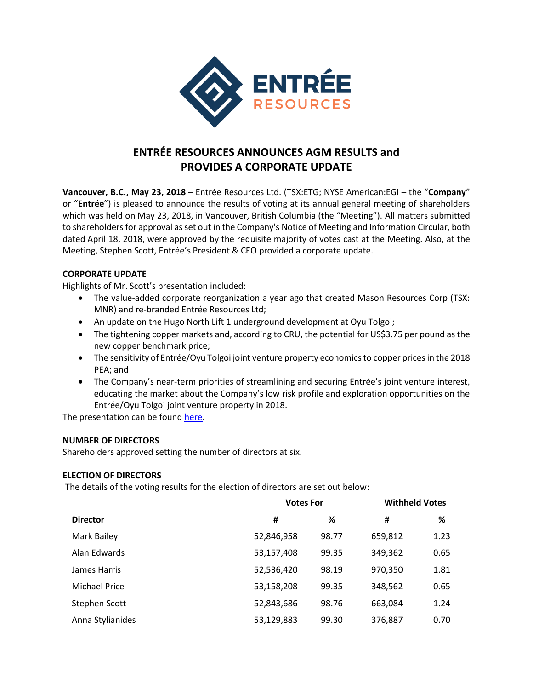

# **ENTRÉE RESOURCES ANNOUNCES AGM RESULTS and PROVIDES A CORPORATE UPDATE**

**Vancouver, B.C., May 23, 2018** – Entrée Resources Ltd. (TSX:ETG; NYSE American:EGI – the "**Company**" or "**Entrée**") is pleased to announce the results of voting at its annual general meeting of shareholders which was held on May 23, 2018, in Vancouver, British Columbia (the "Meeting"). All matters submitted to shareholders for approval as set out in the Company's Notice of Meeting and Information Circular, both dated April 18, 2018, were approved by the requisite majority of votes cast at the Meeting. Also, at the Meeting, Stephen Scott, Entrée's President & CEO provided a corporate update.

## **CORPORATE UPDATE**

Highlights of Mr. Scott's presentation included:

- The value-added corporate reorganization a year ago that created Mason Resources Corp (TSX: MNR) and re-branded Entrée Resources Ltd;
- An update on the Hugo North Lift 1 underground development at Oyu Tolgoi;
- The tightening copper markets and, according to CRU, the potential for US\$3.75 per pound as the new copper benchmark price;
- The sensitivity of Entrée/Oyu Tolgoi joint venture property economics to copper prices in the 2018 PEA; and
- The Company's near-term priorities of streamlining and securing Entrée's joint venture interest, educating the market about the Company's low risk profile and exploration opportunities on the Entrée/Oyu Tolgoi joint venture property in 2018.

The presentation can be found [here.](http://entreeresourcesltd.com/investors/2018-agm/)

## **NUMBER OF DIRECTORS**

Shareholders approved setting the number of directors at six.

## **ELECTION OF DIRECTORS**

The details of the voting results for the election of directors are set out below:

|                      | <b>Votes For</b> |       | <b>Withheld Votes</b> |      |
|----------------------|------------------|-------|-----------------------|------|
| <b>Director</b>      | #                | %     | #                     | %    |
| Mark Bailey          | 52,846,958       | 98.77 | 659,812               | 1.23 |
| Alan Edwards         | 53,157,408       | 99.35 | 349,362               | 0.65 |
| James Harris         | 52,536,420       | 98.19 | 970,350               | 1.81 |
| <b>Michael Price</b> | 53,158,208       | 99.35 | 348,562               | 0.65 |
| Stephen Scott        | 52,843,686       | 98.76 | 663,084               | 1.24 |
| Anna Stylianides     | 53,129,883       | 99.30 | 376,887               | 0.70 |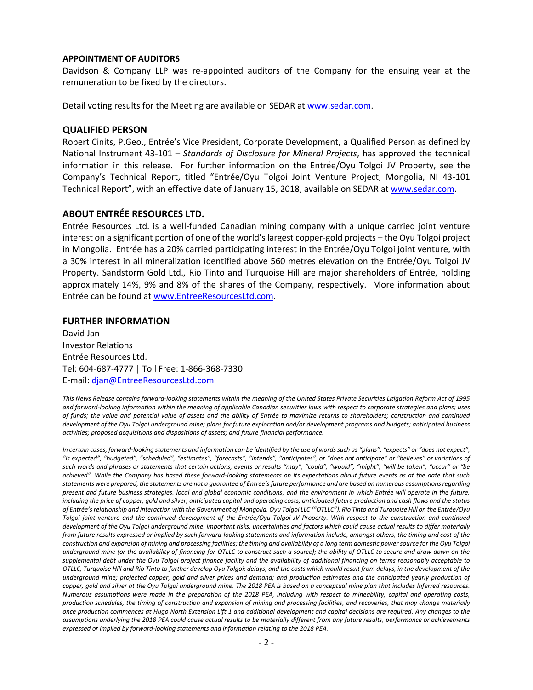#### **APPOINTMENT OF AUDITORS**

Davidson & Company LLP was re-appointed auditors of the Company for the ensuing year at the remuneration to be fixed by the directors.

Detail voting results for the Meeting are available on SEDAR at [www.sedar.com.](http://www.sedar.com/)

#### **QUALIFIED PERSON**

Robert Cinits, P.Geo., Entrée's Vice President, Corporate Development, a Qualified Person as defined by National Instrument 43-101 – *Standards of Disclosure for Mineral Projects*, has approved the technical information in this release. For further information on the Entrée/Oyu Tolgoi JV Property, see the Company's Technical Report, titled "Entrée/Oyu Tolgoi Joint Venture Project, Mongolia, NI 43-101 Technical Report", with an effective date of January 15, 2018, available on SEDAR at [www.sedar.com.](http://www.sedar.com/)

## **ABOUT ENTRÉE RESOURCES LTD.**

Entrée Resources Ltd. is a well-funded Canadian mining company with a unique carried joint venture interest on a significant portion of one of the world's largest copper-gold projects – the Oyu Tolgoi project in Mongolia. Entrée has a 20% carried participating interest in the Entrée/Oyu Tolgoi joint venture, with a 30% interest in all mineralization identified above 560 metres elevation on the Entrée/Oyu Tolgoi JV Property. Sandstorm Gold Ltd., Rio Tinto and Turquoise Hill are major shareholders of Entrée, holding approximately 14%, 9% and 8% of the shares of the Company, respectively. More information about Entrée can be found a[t www.EntreeResourcesLtd.com.](http://www.entreeresourcesltd.com/)

#### **FURTHER INFORMATION**

David Jan Investor Relations Entrée Resources Ltd. Tel: 604-687-4777 | Toll Free: 1-866-368-7330 E-mail: [djan@EntreeResourcesLtd.com](mailto:djan@EntreeResourcesLtd.com)

*This News Release contains forward-looking statements within the meaning of the United States Private Securities Litigation Reform Act of 1995 and forward-looking information within the meaning of applicable Canadian securities laws with respect to corporate strategies and plans; uses of funds; the value and potential value of assets and the ability of Entrée to maximize returns to shareholders; construction and continued development of the Oyu Tolgoi underground mine; plans for future exploration and/or development programs and budgets; anticipated business activities; proposed acquisitions and dispositions of assets; and future financial performance.*

In certain cases, forward-looking statements and information can be identified by the use of words such as "plans", "expects" or "does not expect", "is expected", "budgeted", "scheduled", "estimates", "forecasts", "intends", "anticipates", or "does not anticipate" or "believes" or variations of such words and phrases or statements that certain actions, events or results "may", "could", "would", "might", "will be taken", "occur" or "be *achieved". While the Company has based these forward-looking statements on its expectations about future events as at the date that such statements were prepared, the statements are not a guarantee of Entrée's future performance and are based on numerous assumptions regarding present and future business strategies, local and global economic conditions, and the environment in which Entrée will operate in the future, including the price of copper, gold and silver, anticipated capital and operating costs, anticipated future production and cash flows and the status of Entrée's relationship and interaction with the Government of Mongolia, Oyu Tolgoi LLC ("OTLLC"), Rio Tinto and Turquoise Hill on the Entrée/Oyu Tolgoi joint venture and the continued development of the Entrée/Oyu Tolgoi JV Property. With respect to the construction and continued development of the Oyu Tolgoi underground mine, important risks, uncertainties and factors which could cause actual results to differ materially from future results expressed or implied by such forward-looking statements and information include, amongst others, the timing and cost of the construction and expansion of mining and processing facilities; the timing and availability of a long term domestic power source for the Oyu Tolgoi underground mine (or the availability of financing for OTLLC to construct such a source); the ability of OTLLC to secure and draw down on the supplemental debt under the Oyu Tolgoi project finance facility and the availability of additional financing on terms reasonably acceptable to OTLLC, Turquoise Hill and Rio Tinto to further develop Oyu Tolgoi; delays, and the costs which would result from delays, in the development of the underground mine; projected copper, gold and silver prices and demand; and production estimates and the anticipated yearly production of copper, gold and silver at the Oyu Tolgoi underground mine. The 2018 PEA is based on a conceptual mine plan that includes Inferred resources. Numerous assumptions were made in the preparation of the 2018 PEA, including with respect to mineability, capital and operating costs, production schedules, the timing of construction and expansion of mining and processing facilities, and recoveries, that may change materially once production commences at Hugo North Extension Lift 1 and additional development and capital decisions are required. Any changes to the assumptions underlying the 2018 PEA could cause actual results to be materially different from any future results, performance or achievements expressed or implied by forward-looking statements and information relating to the 2018 PEA.*